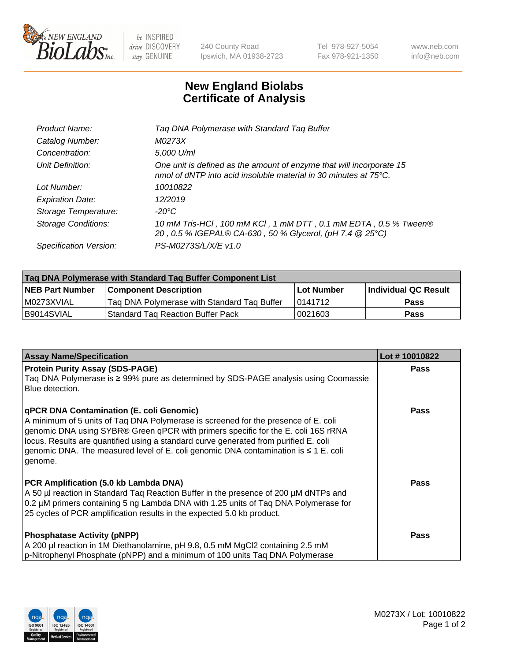

 $be$  INSPIRED drive DISCOVERY stay GENUINE

240 County Road Ipswich, MA 01938-2723 Tel 978-927-5054 Fax 978-921-1350 www.neb.com info@neb.com

## **New England Biolabs Certificate of Analysis**

| Tag DNA Polymerase with Standard Tag Buffer                                                                                              |
|------------------------------------------------------------------------------------------------------------------------------------------|
| M0273X                                                                                                                                   |
| 5,000 U/ml                                                                                                                               |
| One unit is defined as the amount of enzyme that will incorporate 15<br>nmol of dNTP into acid insoluble material in 30 minutes at 75°C. |
| 10010822                                                                                                                                 |
| 12/2019                                                                                                                                  |
| $-20^{\circ}$ C                                                                                                                          |
| 10 mM Tris-HCl, 100 mM KCl, 1 mM DTT, 0.1 mM EDTA, 0.5 % Tween®<br>20, 0.5 % IGEPAL® CA-630, 50 % Glycerol, (pH 7.4 @ 25°C)              |
| PS-M0273S/L/X/E v1.0                                                                                                                     |
|                                                                                                                                          |

| Taq DNA Polymerase with Standard Taq Buffer Component List |                                             |                   |                      |  |  |
|------------------------------------------------------------|---------------------------------------------|-------------------|----------------------|--|--|
| <b>NEB Part Number</b>                                     | Component Description_                      | <b>Lot Number</b> | Individual QC Result |  |  |
| M0273XVIAL                                                 | Tag DNA Polymerase with Standard Tag Buffer | 10141712          | <b>Pass</b>          |  |  |
| B9014SVIAL                                                 | Standard Tag Reaction Buffer Pack           | 0021603           | Pass                 |  |  |

| <b>Assay Name/Specification</b>                                                                                                                                                                                                                                                                                                                                                                               | Lot #10010822 |
|---------------------------------------------------------------------------------------------------------------------------------------------------------------------------------------------------------------------------------------------------------------------------------------------------------------------------------------------------------------------------------------------------------------|---------------|
| <b>Protein Purity Assay (SDS-PAGE)</b><br>Taq DNA Polymerase is ≥ 99% pure as determined by SDS-PAGE analysis using Coomassie<br>Blue detection.                                                                                                                                                                                                                                                              | <b>Pass</b>   |
| qPCR DNA Contamination (E. coli Genomic)<br>A minimum of 5 units of Taq DNA Polymerase is screened for the presence of E. coli<br>genomic DNA using SYBR® Green qPCR with primers specific for the E. coli 16S rRNA<br>locus. Results are quantified using a standard curve generated from purified E. coli<br>genomic DNA. The measured level of E. coli genomic DNA contamination is ≤ 1 E. coli<br>genome. | Pass          |
| PCR Amplification (5.0 kb Lambda DNA)<br>A 50 µl reaction in Standard Taq Reaction Buffer in the presence of 200 µM dNTPs and<br>0.2 µM primers containing 5 ng Lambda DNA with 1.25 units of Taq DNA Polymerase for<br>25 cycles of PCR amplification results in the expected 5.0 kb product.                                                                                                                | Pass          |
| <b>Phosphatase Activity (pNPP)</b><br>A 200 µl reaction in 1M Diethanolamine, pH 9.8, 0.5 mM MgCl2 containing 2.5 mM<br>p-Nitrophenyl Phosphate (pNPP) and a minimum of 100 units Taq DNA Polymerase                                                                                                                                                                                                          | Pass          |